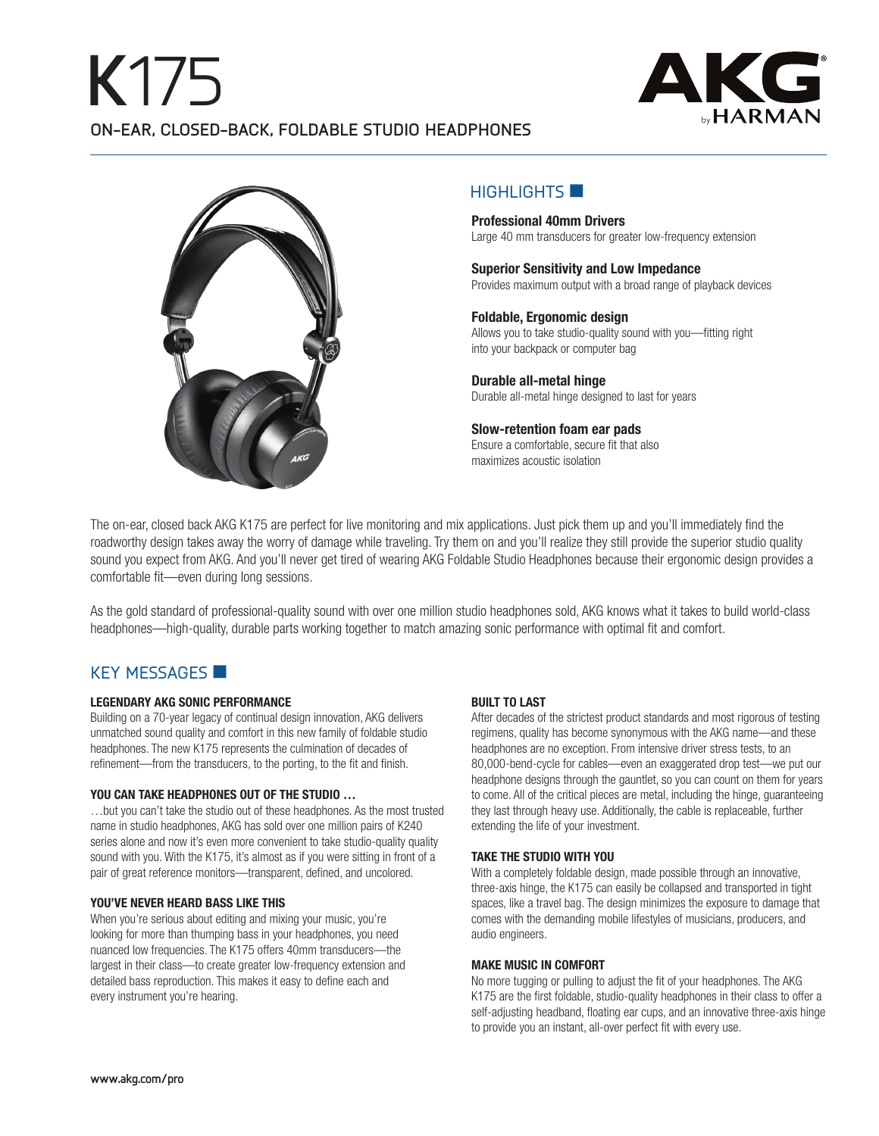## **K**175 **ON-EAR, CLOSED-BACK, FOLDABLE STUDIO HEADPHONES**



#### $H$ IGHLIGHTS  $\blacksquare$

**Professional 40mm Drivers** Large 40 mm transducers for greater low-frequency extension

**Superior Sensitivity and Low Impedance** Provides maximum output with a broad range of playback devices

#### **Foldable, Ergonomic design**

Allows you to take studio-quality sound with you—fitting right into your backpack or computer bag

**Durable all-metal hinge** Durable all-metal hinge designed to last for years

**Slow-retention foam ear pads** Ensure a comfortable, secure fit that also maximizes acoustic isolation

The on-ear, closed back AKG K175 are perfect for live monitoring and mix applications. Just pick them up and you'll immediately find the roadworthy design takes away the worry of damage while traveling. Try them on and you'll realize they still provide the superior studio quality sound you expect from AKG. And you'll never get tired of wearing AKG Foldable Studio Headphones because their ergonomic design provides a comfortable fit—even during long sessions.

As the gold standard of professional-quality sound with over one million studio headphones sold, AKG knows what it takes to build world-class headphones—high-quality, durable parts working together to match amazing sonic performance with optimal fit and comfort.

#### KEY MESSAGES

#### **LEGENDARY AKG SONIC PERFORMANCE**

Building on a 70-year legacy of continual design innovation, AKG delivers unmatched sound quality and comfort in this new family of foldable studio headphones. The new K175 represents the culmination of decades of refinement—from the transducers, to the porting, to the fit and finish.

#### **YOU CAN TAKE HEADPHONES OUT OF THE STUDIO …**

…but you can't take the studio out of these headphones. As the most trusted name in studio headphones, AKG has sold over one million pairs of K240 series alone and now it's even more convenient to take studio-quality quality sound with you. With the K175, it's almost as if you were sitting in front of a pair of great reference monitors—transparent, defined, and uncolored.

#### **YOU'VE NEVER HEARD BASS LIKE THIS**

When you're serious about editing and mixing your music, you're looking for more than thumping bass in your headphones, you need nuanced low frequencies. The K175 offers 40mm transducers—the largest in their class—to create greater low-frequency extension and detailed bass reproduction. This makes it easy to define each and every instrument you're hearing.

#### **BUILT TO LAST**

After decades of the strictest product standards and most rigorous of testing regimens, quality has become synonymous with the AKG name—and these headphones are no exception. From intensive driver stress tests, to an 80,000-bend-cycle for cables—even an exaggerated drop test—we put our headphone designs through the gauntlet, so you can count on them for years to come. All of the critical pieces are metal, including the hinge, guaranteeing they last through heavy use. Additionally, the cable is replaceable, further extending the life of your investment.

#### **TAKE THE STUDIO WITH YOU**

With a completely foldable design, made possible through an innovative, three-axis hinge, the K175 can easily be collapsed and transported in tight spaces, like a travel bag. The design minimizes the exposure to damage that comes with the demanding mobile lifestyles of musicians, producers, and audio engineers.

#### **MAKE MUSIC IN COMFORT**

No more tugging or pulling to adjust the fit of your headphones. The AKG K175 are the first foldable, studio-quality headphones in their class to offer a self-adjusting headband, floating ear cups, and an innovative three-axis hinge to provide you an instant, all-over perfect fit with every use.